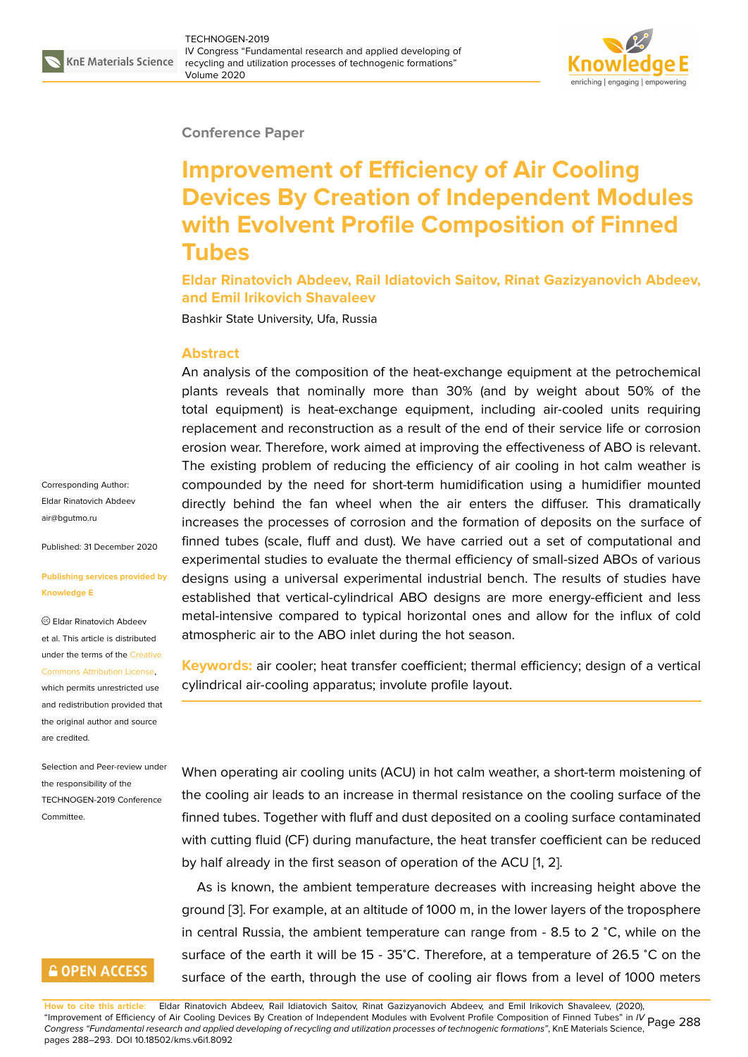

### **Conference Paper**

# **Improvement of Efficiency of Air Cooling Devices By Creation of Independent Modules with Evolvent Profile Composition of Finned Tubes**

**Eldar Rinatovich Abdeev, Rail Idiatovich Saitov, Rinat Gazizyanovich Abdeev, and Emil Irikovich Shavaleev**

Bashkir State University, Ufa, Russia

#### **Abstract**

An analysis of the composition of the heat-exchange equipment at the petrochemical plants reveals that nominally more than 30% (and by weight about 50% of the total equipment) is heat-exchange equipment, including air-cooled units requiring replacement and reconstruction as a result of the end of their service life or corrosion erosion wear. Therefore, work aimed at improving the effectiveness of ABO is relevant. The existing problem of reducing the efficiency of air cooling in hot calm weather is compounded by the need for short-term humidification using a humidifier mounted directly behind the fan wheel when the air enters the diffuser. This dramatically increases the processes of corrosion and the formation of deposits on the surface of finned tubes (scale, fluff and dust). We have carried out a set of computational and experimental studies to evaluate the thermal efficiency of small-sized ABOs of various designs using a universal experimental industrial bench. The results of studies have established that vertical-cylindrical ABO designs are more energy-efficient and less metal-intensive compared to typical horizontal ones and allow for the influx of cold atmospheric air to the ABO inlet during the hot season.

**Keywords:** air cooler; heat transfer coefficient; thermal efficiency; design of a vertical cylindrical air-cooling apparatus; involute profile layout.

When operating air cooling units (ACU) in hot calm weather, a short-term moistening of the cooling air leads to an increase in thermal resistance on the cooling surface of the finned tubes. Together with fluff and dust deposited on a cooling surface contaminated with cutting fluid (CF) during manufacture, the heat transfer coefficient can be reduced by half already in the first season of operation of the ACU [1, 2].

As is known, the ambient temperature decreases with increasing height above the ground [3]. For example, at an altitude of 1000 m, in the lower layers of the troposphere in central Russia, the ambient temperature can range fro[m](#page-5-0) - [8](#page-5-1).5 to 2 <sup>∘</sup>C, while on the surface of the earth it will be 15 - 35°C. Therefore, at a temperature of 26.5 °C on the surface [of](#page-5-2) the earth, through the use of cooling air flows from a level of 1000 meters

**How to cite this article**: Eldar Rinatovich Abdeev, Rail Idiatovich Saitov, Rinat Gazizyanovich Abdeev, and Emil Irikovich Shavaleev, (2020), "Improvement of Efficiency of Air Cooling Devices By Creation of Independent Modules with Evolvent Profile Composition of Finned Tubes" in *IV* Page 288 *Congress "Fundamental research and applied developing of recycling and utilization processes of technogenic formations"*, KnE Materials Science, pages 288–293. DOI 10.18502/kms.v6i1.8092

Corresponding Author: Eldar Rinatovich Abdeev air@bgutmo.ru

Published: 31 December 2020

#### **[Publishing ser](mailto:air@bgutmo.ru)vices provided by Knowledge E**

Eldar Rinatovich Abdeev et al. This article is distributed under the terms of the Creative Commons Attribution License,

which permits unrestricted use and redistribution provided that the original author and [source](https://creativecommons.org/licenses/by/4.0/) [are credited.](https://creativecommons.org/licenses/by/4.0/)

Selection and Peer-review under the responsibility of the TECHNOGEN-2019 Conference Committee.

## **GOPEN ACCESS**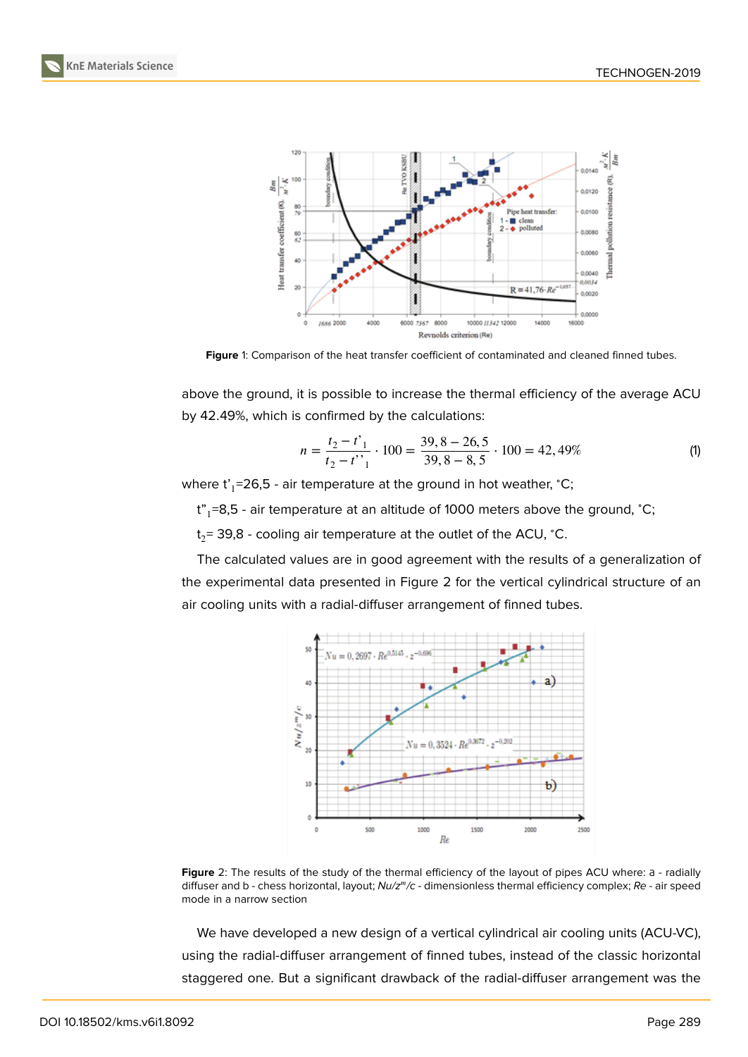

**Figure** 1: Comparison of the heat transfer coefficient of contaminated and cleaned finned tubes.

above the ground, it is possible to increase the thermal efficiency of the average ACU by 42.49%, which is confirmed by the calculations:

$$
n = \frac{t_2 - t'}{t_2 - t'}
$$
  $\cdot$  100 =  $\frac{39, 8 - 26, 5}{39, 8 - 8, 5}$   $\cdot$  100 = 42,49% (1)

where t'<sub>1</sub>=26,5 - air temperature at the ground in hot weather, °C;

t"<sub>1</sub>=8,5 - air temperature at an altitude of 1000 meters above the ground, °C;

t<sub>2</sub>= 39,8 - cooling air temperature at the outlet of the ACU, °C.

The calculated values are in good agreement with the results of a generalization of the experimental data presented in Figure 2 for the vertical cylindrical structure of an air cooling units with a radial-diffuser arrangement of finned tubes.



**Figure** 2: The results of the study of the thermal efficiency of the layout of pipes ACU where: а - radially diffuser and b - chess horizontal, layout; *Nu/z<sup>m</sup>/c* - dimensionless thermal efficiency complex; *Re* - air speed mode in a narrow section

We have developed a new design of a vertical cylindrical air cooling units (ACU-VC), using the radial-diffuser arrangement of finned tubes, instead of the classic horizontal staggered one. But a significant drawback of the radial-diffuser arrangement was the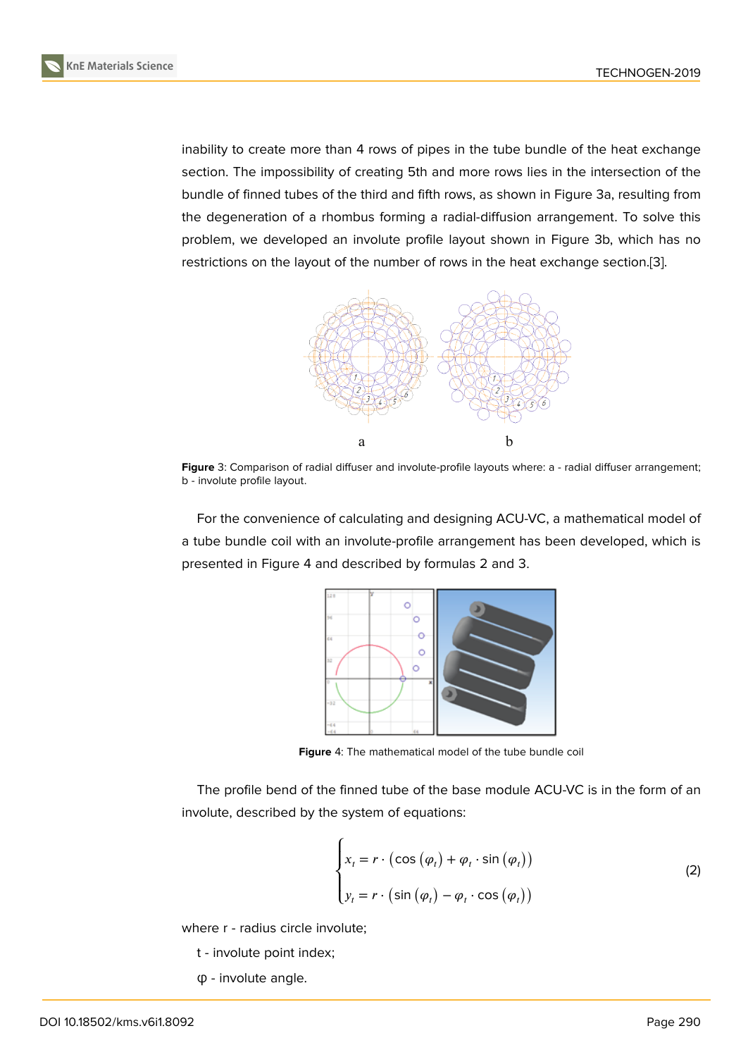inability to create more than 4 rows of pipes in the tube bundle of the heat exchange section. The impossibility of creating 5th and more rows lies in the intersection of the bundle of finned tubes of the third and fifth rows, as shown in Figure 3a, resulting from the degeneration of a rhombus forming a radial-diffusion arrangement. To solve this problem, we developed an involute profile layout shown in Figure 3b, which has no restrictions on the layout of the number of rows in the heat exchang[e s](#page-2-0)ection.[3].



Figure 3: Comparison of radial diffuser and involute-profile layouts where: a - radial diffuser arrangement; b - involute profile layout.

<span id="page-2-0"></span>For the convenience of calculating and designing ACU-VC, a mathematical model of a tube bundle coil with an involute-profile arrangement has been developed, which is presented in Figure 4 and described by formulas 2 and 3.



**Figure** 4: The mathematical model of the tube bundle coil

The profile bend of the finned tube of the base module ACU-VC is in the form of an involute, described by the system of equations:

<span id="page-2-1"></span>
$$
\begin{cases}\n x_t = r \cdot (\cos(\varphi_t) + \varphi_t \cdot \sin(\varphi_t)) \\
y_t = r \cdot (\sin(\varphi_t) - \varphi_t \cdot \cos(\varphi_t))\n\end{cases}
$$
\n(2)

where  $r$  - radius circle involute;

- t involute point index;
- φ involute angle.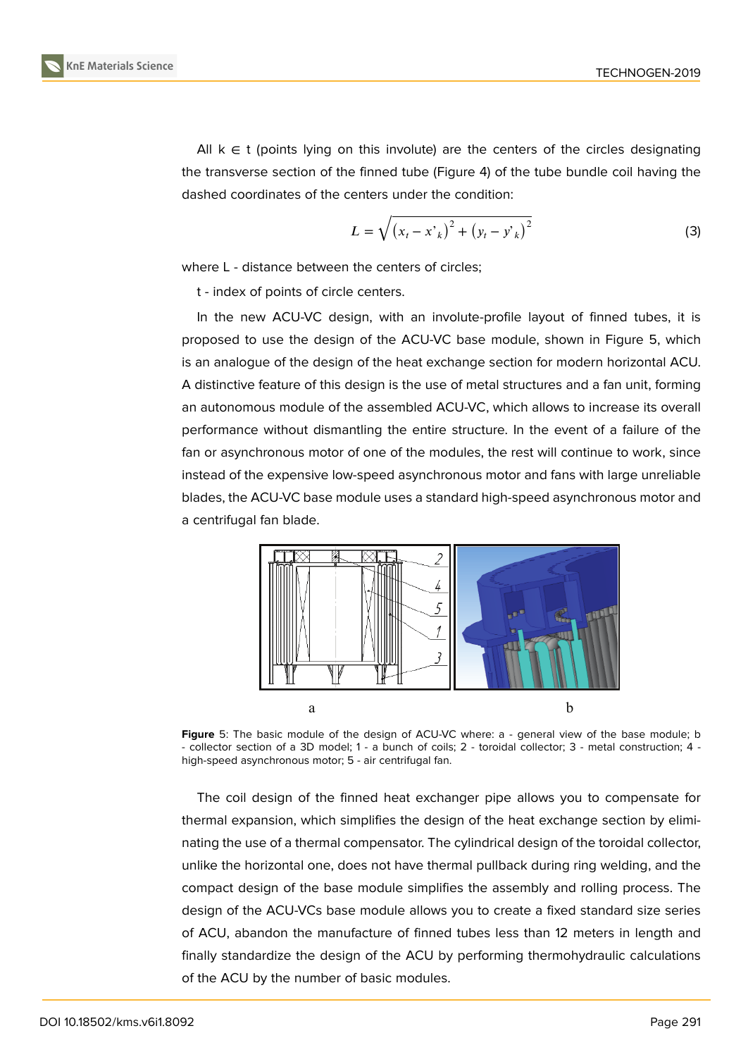All  $k \in t$  (points lying on this involute) are the centers of the circles designating the transverse section of the finned tube (Figure 4) of the tube bundle coil having the dashed coordinates of the centers under the condition:

$$
L = \sqrt{(x_t - x_{k})^2 + (y_t - y_{k})^2}
$$
 (3)

where L - distance between the centers of circles;

t - index of points of circle centers.

In the new ACU-VC design, with an involute-profile layout of finned tubes, it is proposed to use the design of the ACU-VC base module, shown in Figure 5, which is an analogue of the design of the heat exchange section for modern horizontal ACU. A distinctive feature of this design is the use of metal structures and a fan unit, forming an autonomous module of the assembled ACU-VC, which allows to increase i[ts](#page-3-0) overall performance without dismantling the entire structure. In the event of a failure of the fan or asynchronous motor of one of the modules, the rest will continue to work, since instead of the expensive low-speed asynchronous motor and fans with large unreliable blades, the ACU-VC base module uses a standard high-speed asynchronous motor and a centrifugal fan blade.



**Figure** 5: The basic module of the design of ACU-VC where: a - general view of the base module; b - collector section of a 3D model; 1 - a bunch of coils; 2 - toroidal collector; 3 - metal construction; 4 high-speed asynchronous motor; 5 - air centrifugal fan.

<span id="page-3-0"></span>The coil design of the finned heat exchanger pipe allows you to compensate for thermal expansion, which simplifies the design of the heat exchange section by eliminating the use of a thermal compensator. The cylindrical design of the toroidal collector, unlike the horizontal one, does not have thermal pullback during ring welding, and the compact design of the base module simplifies the assembly and rolling process. The design of the ACU-VCs base module allows you to create a fixed standard size series of ACU, abandon the manufacture of finned tubes less than 12 meters in length and finally standardize the design of the ACU by performing thermohydraulic calculations of the ACU by the number of basic modules.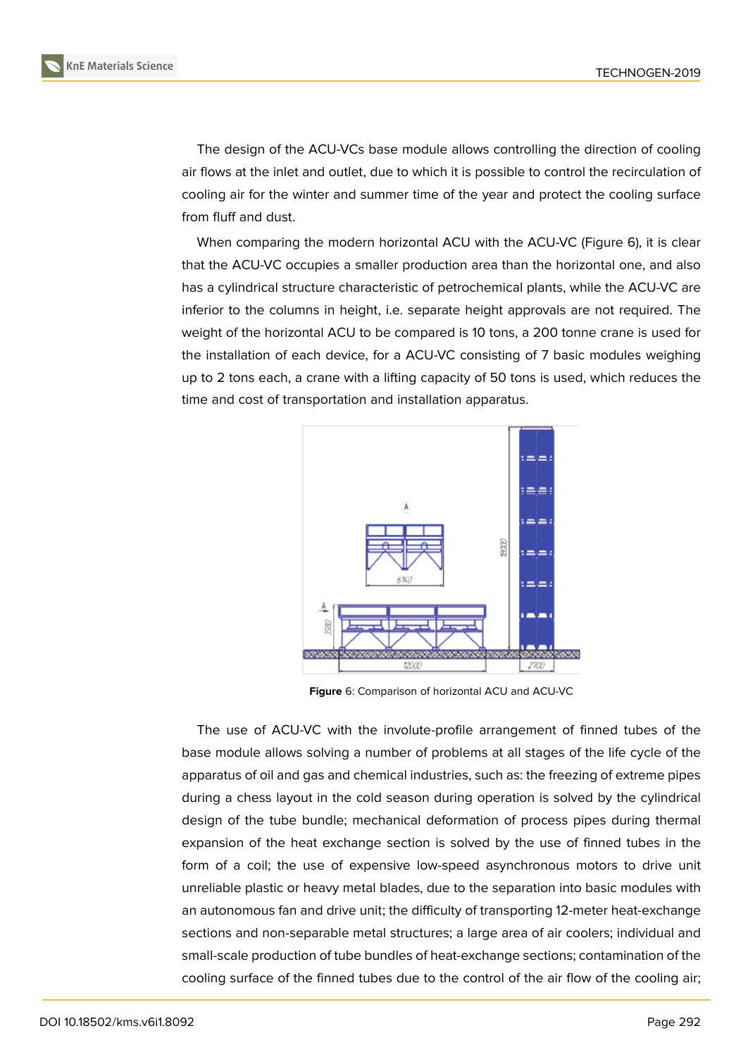The design of the ACU-VCs base module allows controlling the direction of cooling air flows at the inlet and outlet, due to which it is possible to control the recirculation of cooling air for the winter and summer time of the year and protect the cooling surface from fluff and dust.

When comparing the modern horizontal ACU with the ACU-VC (Figure 6), it is clear that the ACU-VC occupies a smaller production area than the horizontal one, and also has a cylindrical structure characteristic of petrochemical plants, while the ACU-VC are inferior to the columns in height, i.e. separate height approvals are not r[eq](#page-4-0)uired. The weight of the horizontal ACU to be compared is 10 tons, a 200 tonne crane is used for the installation of each device, for a ACU-VC consisting of 7 basic modules weighing up to 2 tons each, a crane with a lifting capacity of 50 tons is used, which reduces the time and cost of transportation and installation apparatus.



<span id="page-4-0"></span>**Figure** 6: Comparison of horizontal ACU and ACU-VC

The use of ACU-VC with the involute-profile arrangement of finned tubes of the base module allows solving a number of problems at all stages of the life cycle of the apparatus of oil and gas and chemical industries, such as: the freezing of extreme pipes during a chess layout in the cold season during operation is solved by the cylindrical design of the tube bundle; mechanical deformation of process pipes during thermal expansion of the heat exchange section is solved by the use of finned tubes in the form of a coil; the use of expensive low-speed asynchronous motors to drive unit unreliable plastic or heavy metal blades, due to the separation into basic modules with an autonomous fan and drive unit; the difficulty of transporting 12-meter heat-exchange sections and non-separable metal structures; a large area of air coolers; individual and small-scale production of tube bundles of heat-exchange sections; contamination of the cooling surface of the finned tubes due to the control of the air flow of the cooling air;